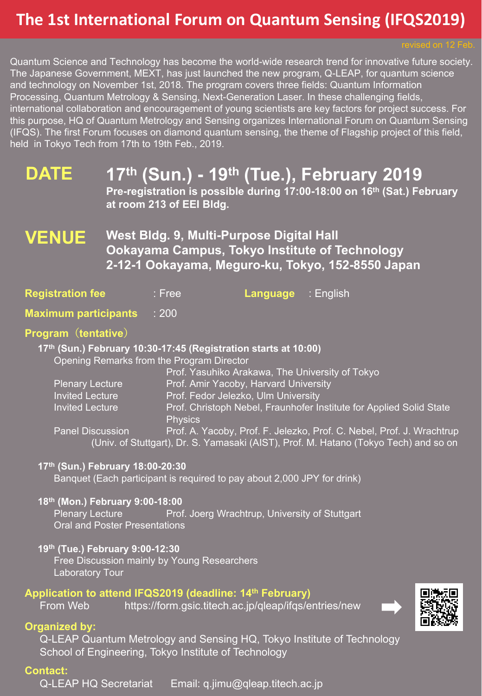## **The 1st International Forum on Quantum Sensing (IFQS2019)**

Quantum Science and Technology has become the world-wide research trend for innovative future society. The Japanese Government, MEXT, has just launched the new program, Q-LEAP, for quantum science and technology on November 1st, 2018. The program covers three fields: Quantum Information Processing, Quantum Metrology & Sensing, Next-Generation Laser. In these challenging fields, international collaboration and encouragement of young scientists are key factors for project success. For this purpose, HQ of Quantum Metrology and Sensing organizes International Forum on Quantum Sensing (IFQS). The first Forum focuses on diamond quantum sensing, the theme of Flagship project of this field, held in Tokyo Tech from 17th to 19th Feb., 2019.

#### **DATE 17th (Sun.) - 19th (Tue.), February 2019**

**Pre-registration is possible during 17:00-18:00 on 16th (Sat.) February at room 213 of EEI Bldg.**

#### **VENUE West Bldg. 9, Multi-Purpose Digital Hall Ookayama Campus, Tokyo Institute of Technology 2-12-1 Ookayama, Meguro-ku, Tokyo, 152-8550 Japan**

|  | <b>Registration fee</b> | $:$ Free | <b>Language</b> : English |  |
|--|-------------------------|----------|---------------------------|--|
|--|-------------------------|----------|---------------------------|--|

**Maximum participants** : 200

#### **Program(tentative)**

**17th (Sun.) February 10:30-17:45 (Registration starts at 10:00)**

Opening Remarks from the Program Director

|                         | Prof. Yasuhiko Arakawa, The University of Tokyo                                      |
|-------------------------|--------------------------------------------------------------------------------------|
| <b>Plenary Lecture</b>  | Prof. Amir Yacoby, Harvard University                                                |
| <b>Invited Lecture</b>  | Prof. Fedor Jelezko, Ulm University                                                  |
| <b>Invited Lecture</b>  | Prof. Christoph Nebel, Fraunhofer Institute for Applied Solid State                  |
|                         | <b>Physics</b>                                                                       |
| <b>Panel Discussion</b> | Prof. A. Yacoby, Prof. F. Jelezko, Prof. C. Nebel, Prof. J. Wrachtrup                |
|                         | (Univ. of Stuttgart), Dr. S. Yamasaki (AIST), Prof. M. Hatano (Tokyo Tech) and so on |

#### **17th (Sun.) February 18:00-20:30**

Banquet (Each participant is required to pay about 2,000 JPY for drink)

#### **18th (Mon.) February 9:00-18:00**

Plenary Lecture **Prof. Joerg Wrachtrup, University of Stuttgart** Oral and Poster Presentations

#### **19th (Tue.) February 9:00-12:30**

Free Discussion mainly by Young Researchers Laboratory Tour

#### **Application to attend IFQS2019 (deadline: 14th February)**

From Web https://form.gsic.titech.ac.jp/qleap/ifqs/entries/new

#### **Organized by:**

Q-LEAP Quantum Metrology and Sensing HQ, Tokyo Institute of Technology School of Engineering, Tokyo Institute of Technology

#### **Contact:**

Q-LEAP HQ Secretariat Email: q.jimu@qleap.titech.ac.jp